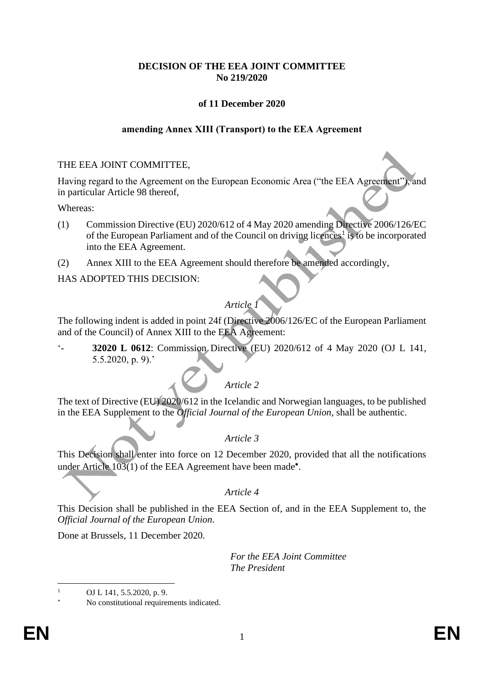# **DECISION OF THE EEA JOINT COMMITTEE No 219/2020**

# **of 11 December 2020**

## **amending Annex XIII (Transport) to the EEA Agreement**

#### THE EEA JOINT COMMITTEE,

Having regard to the Agreement on the European Economic Area ("the EEA Agreement"), and in particular Article 98 thereof,

#### Whereas:

- (1) Commission Directive (EU) 2020/612 of 4 May 2020 amending Directive 2006/126/EC of the European Parliament and of the Council on driving licences<sup>1</sup> is to be incorporated into the EEA Agreement.
- (2) Annex XIII to the EEA Agreement should therefore be amended accordingly,

HAS ADOPTED THIS DECISION:

# *Article 1*

The following indent is added in point 24f (Directive 2006/126/EC of the European Parliament and of the Council) of Annex XIII to the EEA Agreement:

'- **32020 L 0612**: Commission Directive (EU) 2020/612 of 4 May 2020 (OJ L 141, 5.5.2020, p. 9).'

# *Article 2*

The text of Directive (EU) 2020/612 in the Icelandic and Norwegian languages, to be published in the EEA Supplement to the *Official Journal of the European Union*, shall be authentic.

## *Article 3*

This Decision shall enter into force on 12 December 2020, provided that all the notifications under Article 103(1) of the EEA Agreement have been made<sup>\*</sup>.

## *Article 4*

This Decision shall be published in the EEA Section of, and in the EEA Supplement to, the *Official Journal of the European Union*.

Done at Brussels, 11 December 2020.

*For the EEA Joint Committee The President*

OJ L 141, 5.5.2020, p. 9.

No constitutional requirements indicated.